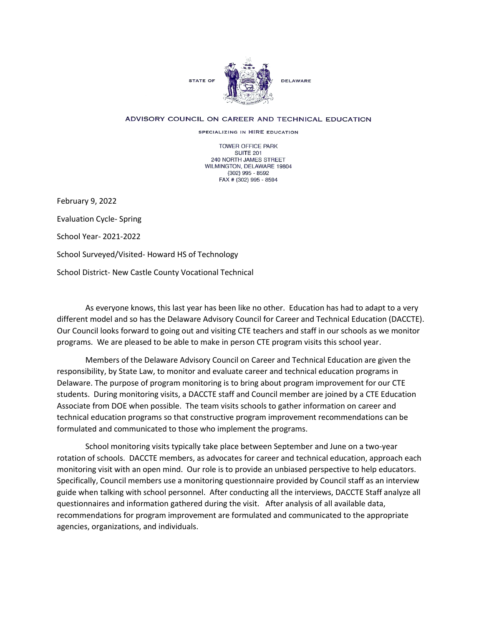

## ADVISORY COUNCIL ON CAREER AND TECHNICAL EDUCATION

SPECIALIZING IN HIRE EDUCATION

TOWER OFFICE PARK SUITE 201 240 NORTH JAMES STREET WILMINGTON, DELAWARE 19804 (302) 995 - 8592 FAX # (302) 995 - 8594

February 9, 2022

Evaluation Cycle- Spring

School Year- 2021-2022

School Surveyed/Visited- Howard HS of Technology

School District- New Castle County Vocational Technical

As everyone knows, this last year has been like no other. Education has had to adapt to a very different model and so has the Delaware Advisory Council for Career and Technical Education (DACCTE). Our Council looks forward to going out and visiting CTE teachers and staff in our schools as we monitor programs. We are pleased to be able to make in person CTE program visits this school year.

Members of the Delaware Advisory Council on Career and Technical Education are given the responsibility, by State Law, to monitor and evaluate career and technical education programs in Delaware. The purpose of program monitoring is to bring about program improvement for our CTE students. During monitoring visits, a DACCTE staff and Council member are joined by a CTE Education Associate from DOE when possible. The team visits schools to gather information on career and technical education programs so that constructive program improvement recommendations can be formulated and communicated to those who implement the programs.

School monitoring visits typically take place between September and June on a two-year rotation of schools. DACCTE members, as advocates for career and technical education, approach each monitoring visit with an open mind. Our role is to provide an unbiased perspective to help educators. Specifically, Council members use a monitoring questionnaire provided by Council staff as an interview guide when talking with school personnel. After conducting all the interviews, DACCTE Staff analyze all questionnaires and information gathered during the visit. After analysis of all available data, recommendations for program improvement are formulated and communicated to the appropriate agencies, organizations, and individuals.